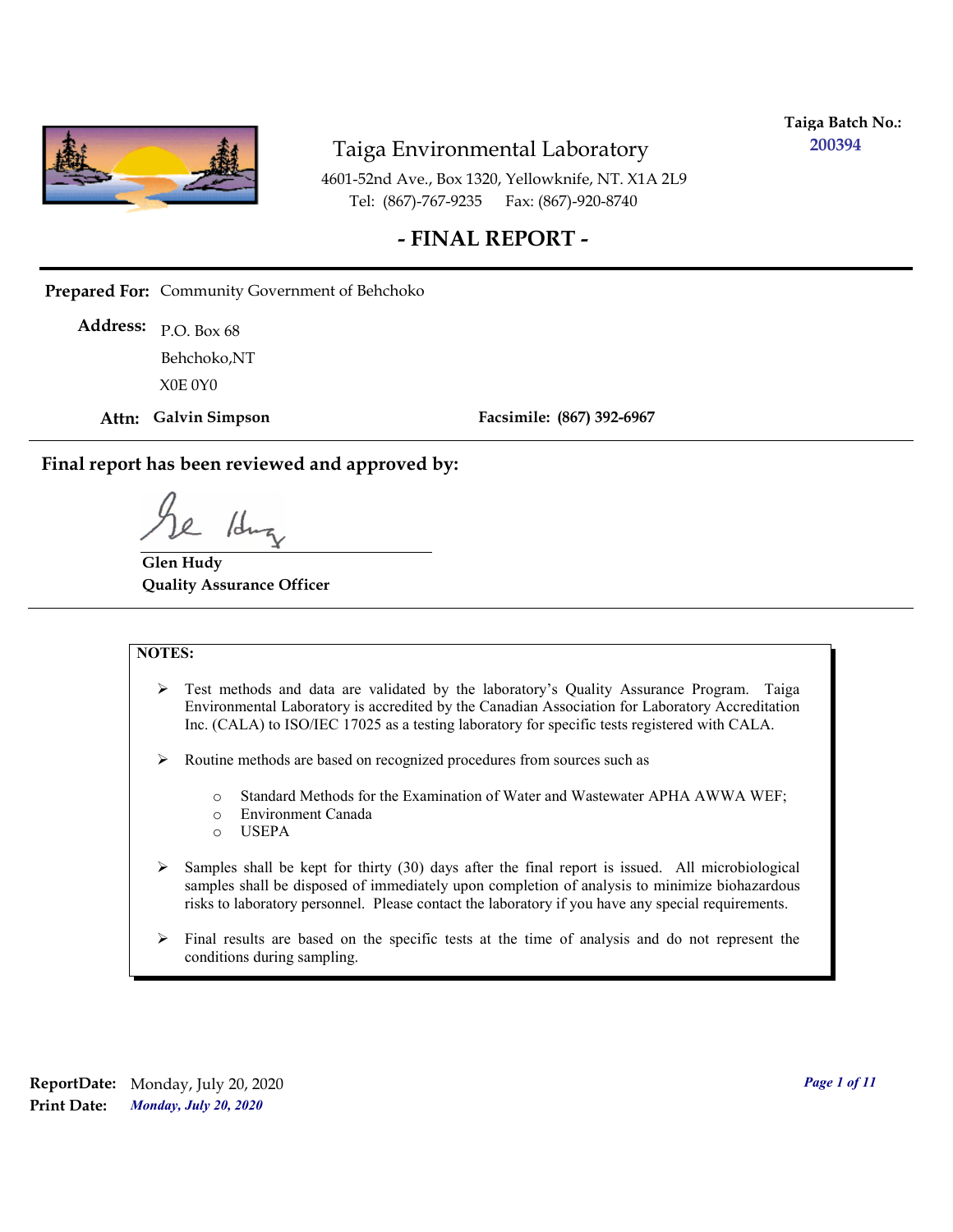

**Taiga Batch No.: 200394**

4601-52nd Ave., Box 1320, Yellowknife, NT. X1A 2L9 Tel: (867)-767-9235 Fax: (867)-920-8740

#### **- FINAL REPORT -**

**Prepared For:** Community Government of Behchoko

P.O. Box 68 **Address:** X0E 0Y0 Behchoko,NT

**Attn: Galvin Simpson**

**Facsimile: (867) 392-6967**

**Final report has been reviewed and approved by:**

/dr

**Glen Hudy Quality Assurance Officer**

#### **NOTES:**

- $\triangleright$  Test methods and data are validated by the laboratory's Quality Assurance Program. Taiga Environmental Laboratory is accredited by the Canadian Association for Laboratory Accreditation Inc. (CALA) to ISO/IEC 17025 as a testing laboratory for specific tests registered with CALA.
- Routine methods are based on recognized procedures from sources such as
	- o Standard Methods for the Examination of Water and Wastewater APHA AWWA WEF;
	- o Environment Canada
	- o USEPA
- $\triangleright$  Samples shall be kept for thirty (30) days after the final report is issued. All microbiological samples shall be disposed of immediately upon completion of analysis to minimize biohazardous risks to laboratory personnel. Please contact the laboratory if you have any special requirements.
- $\triangleright$  Final results are based on the specific tests at the time of analysis and do not represent the conditions during sampling.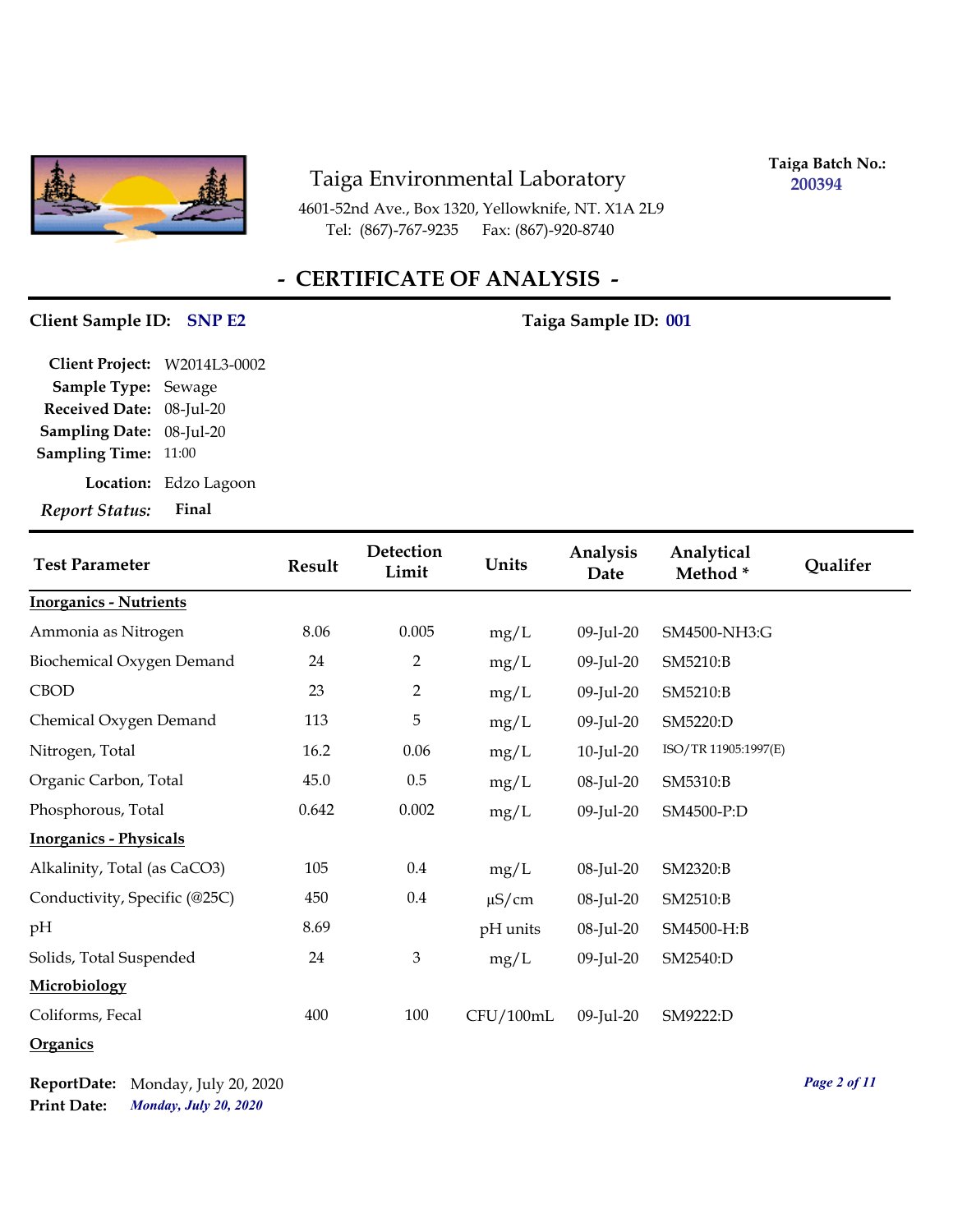

4601-52nd Ave., Box 1320, Yellowknife, NT. X1A 2L9 Tel: (867)-767-9235 Fax: (867)-920-8740

**Taiga Batch No.: 200394**

# **- CERTIFICATE OF ANALYSIS -**

#### **Client Sample ID:** SNP E2 Taiga Sample ID: 001

| <b>Report Status:</b>        | Final                 |
|------------------------------|-----------------------|
|                              | Location: Edzo Lagoon |
| <b>Sampling Time: 11:00</b>  |                       |
| Sampling Date: 08-Jul-20     |                       |
| Received Date: 08-Jul-20     |                       |
| Sample Type: Sewage          |                       |
| Client Project: W2014L3-0002 |                       |

| <b>Test Parameter</b>         | Result | Detection<br>Limit | Units      | Analysis<br>Date | Analytical<br>Method* | Qualifer |
|-------------------------------|--------|--------------------|------------|------------------|-----------------------|----------|
| <b>Inorganics - Nutrients</b> |        |                    |            |                  |                       |          |
| Ammonia as Nitrogen           | 8.06   | 0.005              | mg/L       | 09-Jul-20        | SM4500-NH3:G          |          |
| Biochemical Oxygen Demand     | 24     | 2                  | mg/L       | 09-Jul-20        | SM5210:B              |          |
| <b>CBOD</b>                   | 23     | $\overline{2}$     | mg/L       | 09-Jul-20        | SM5210:B              |          |
| Chemical Oxygen Demand        | 113    | 5                  | mg/L       | 09-Jul-20        | SM5220:D              |          |
| Nitrogen, Total               | 16.2   | 0.06               | mg/L       | $10$ -Jul-20     | ISO/TR 11905:1997(E)  |          |
| Organic Carbon, Total         | 45.0   | $0.5\,$            | mg/L       | 08-Jul-20        | SM5310:B              |          |
| Phosphorous, Total            | 0.642  | 0.002              | mg/L       | 09-Jul-20        | SM4500-P:D            |          |
| <b>Inorganics - Physicals</b> |        |                    |            |                  |                       |          |
| Alkalinity, Total (as CaCO3)  | 105    | $0.4\,$            | mg/L       | 08-Jul-20        | SM2320:B              |          |
| Conductivity, Specific (@25C) | 450    | $0.4\,$            | $\mu$ S/cm | 08-Jul-20        | SM2510:B              |          |
| pH                            | 8.69   |                    | pH units   | 08-Jul-20        | SM4500-H:B            |          |
| Solids, Total Suspended       | 24     | 3                  | mg/L       | 09-Jul-20        | SM2540:D              |          |
| Microbiology                  |        |                    |            |                  |                       |          |
| Coliforms, Fecal              | 400    | 100                | CFU/100mL  | 09-Jul-20        | SM9222:D              |          |
| Organics                      |        |                    |            |                  |                       |          |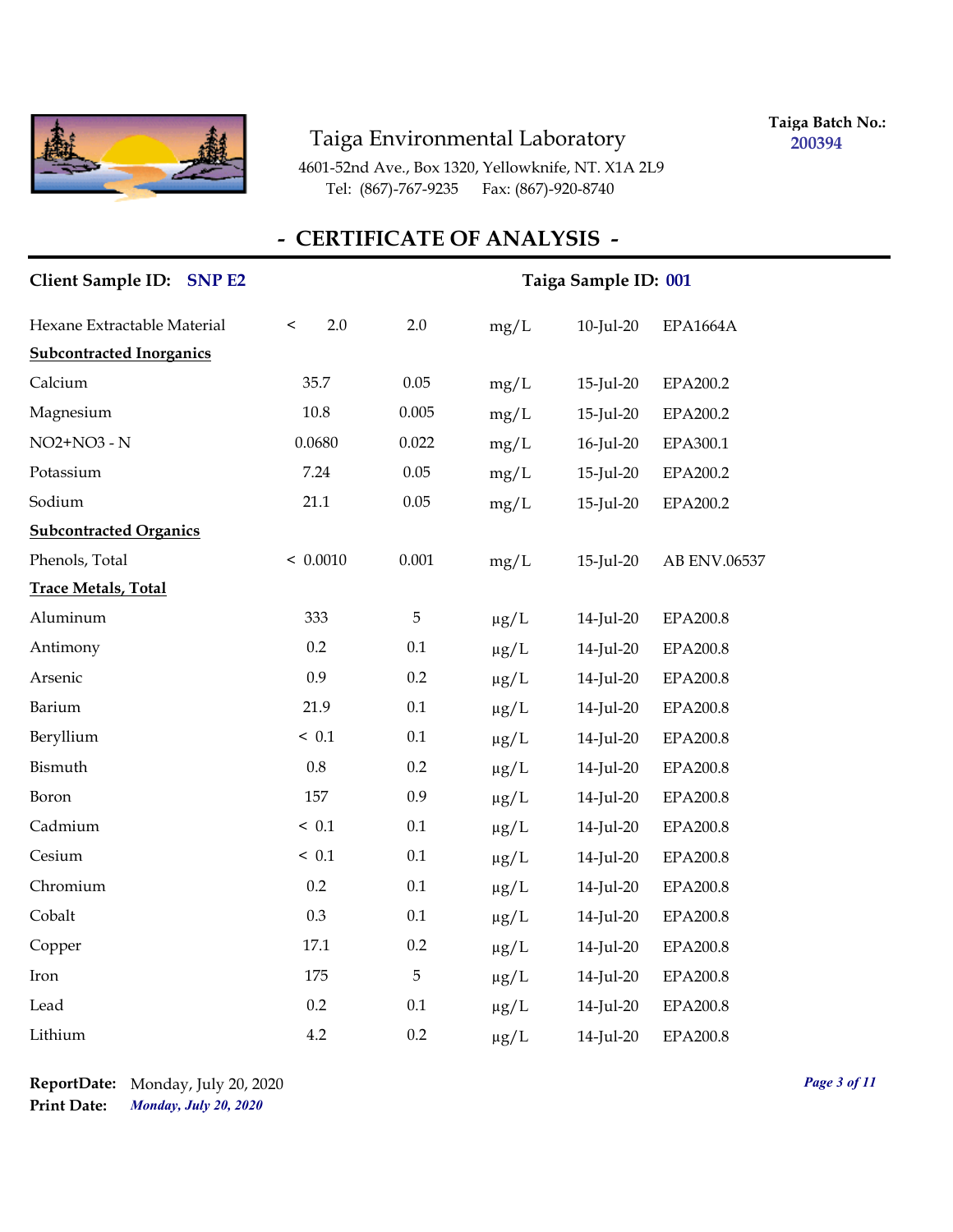

**Taiga Batch No.: 200394**

4601-52nd Ave., Box 1320, Yellowknife, NT. X1A 2L9 Tel: (867)-767-9235 Fax: (867)-920-8740

# **- CERTIFICATE OF ANALYSIS -**

| Client Sample ID: SNP E2        | Taiga Sample ID: 001 |         |           |           |                 |  |  |
|---------------------------------|----------------------|---------|-----------|-----------|-----------------|--|--|
| Hexane Extractable Material     | 2.0<br>$\,<$         | 2.0     | mg/L      | 10-Jul-20 | EPA1664A        |  |  |
| <b>Subcontracted Inorganics</b> |                      |         |           |           |                 |  |  |
| Calcium                         | 35.7                 | 0.05    | mg/L      | 15-Jul-20 | EPA200.2        |  |  |
| Magnesium                       | $10.8\,$             | 0.005   | mg/L      | 15-Jul-20 | EPA200.2        |  |  |
| NO2+NO3 - N                     | 0.0680               | 0.022   | mg/L      | 16-Jul-20 | EPA300.1        |  |  |
| Potassium                       | 7.24                 | 0.05    | mg/L      | 15-Jul-20 | EPA200.2        |  |  |
| Sodium                          | 21.1                 | 0.05    | mg/L      | 15-Jul-20 | EPA200.2        |  |  |
| <b>Subcontracted Organics</b>   |                      |         |           |           |                 |  |  |
| Phenols, Total                  | < 0.0010             | 0.001   | mg/L      | 15-Jul-20 | AB ENV.06537    |  |  |
| <b>Trace Metals, Total</b>      |                      |         |           |           |                 |  |  |
| Aluminum                        | 333                  | 5       | $\mu g/L$ | 14-Jul-20 | EPA200.8        |  |  |
| Antimony                        | 0.2                  | 0.1     | $\mu g/L$ | 14-Jul-20 | EPA200.8        |  |  |
| Arsenic                         | 0.9                  | $0.2\,$ | $\mu g/L$ | 14-Jul-20 | EPA200.8        |  |  |
| Barium                          | 21.9                 | $0.1\,$ | $\mu g/L$ | 14-Jul-20 | <b>EPA200.8</b> |  |  |
| Beryllium                       | ~< 0.1               | 0.1     | $\mu g/L$ | 14-Jul-20 | <b>EPA200.8</b> |  |  |
| Bismuth                         | 0.8                  | 0.2     | $\mu g/L$ | 14-Jul-20 | EPA200.8        |  |  |
| Boron                           | 157                  | 0.9     | $\mu g/L$ | 14-Jul-20 | EPA200.8        |  |  |
| Cadmium                         | ~< 0.1               | 0.1     | $\mu g/L$ | 14-Jul-20 | EPA200.8        |  |  |
| Cesium                          | ~< 0.1               | 0.1     | $\mu g/L$ | 14-Jul-20 | EPA200.8        |  |  |
| Chromium                        | 0.2                  | $0.1\,$ | $\mu g/L$ | 14-Jul-20 | EPA200.8        |  |  |
| Cobalt                          | 0.3                  | 0.1     | $\mu g/L$ | 14-Jul-20 | <b>EPA200.8</b> |  |  |
| Copper                          | 17.1                 | 0.2     | $\mu g/L$ | 14-Jul-20 | EPA200.8        |  |  |
| Iron                            | 175                  | 5       | $\mu g/L$ | 14-Jul-20 | EPA200.8        |  |  |
| Lead                            | 0.2                  | 0.1     | $\mu g/L$ | 14-Jul-20 | EPA200.8        |  |  |
| Lithium                         | 4.2                  | 0.2     | $\mu$ g/L | 14-Jul-20 | EPA200.8        |  |  |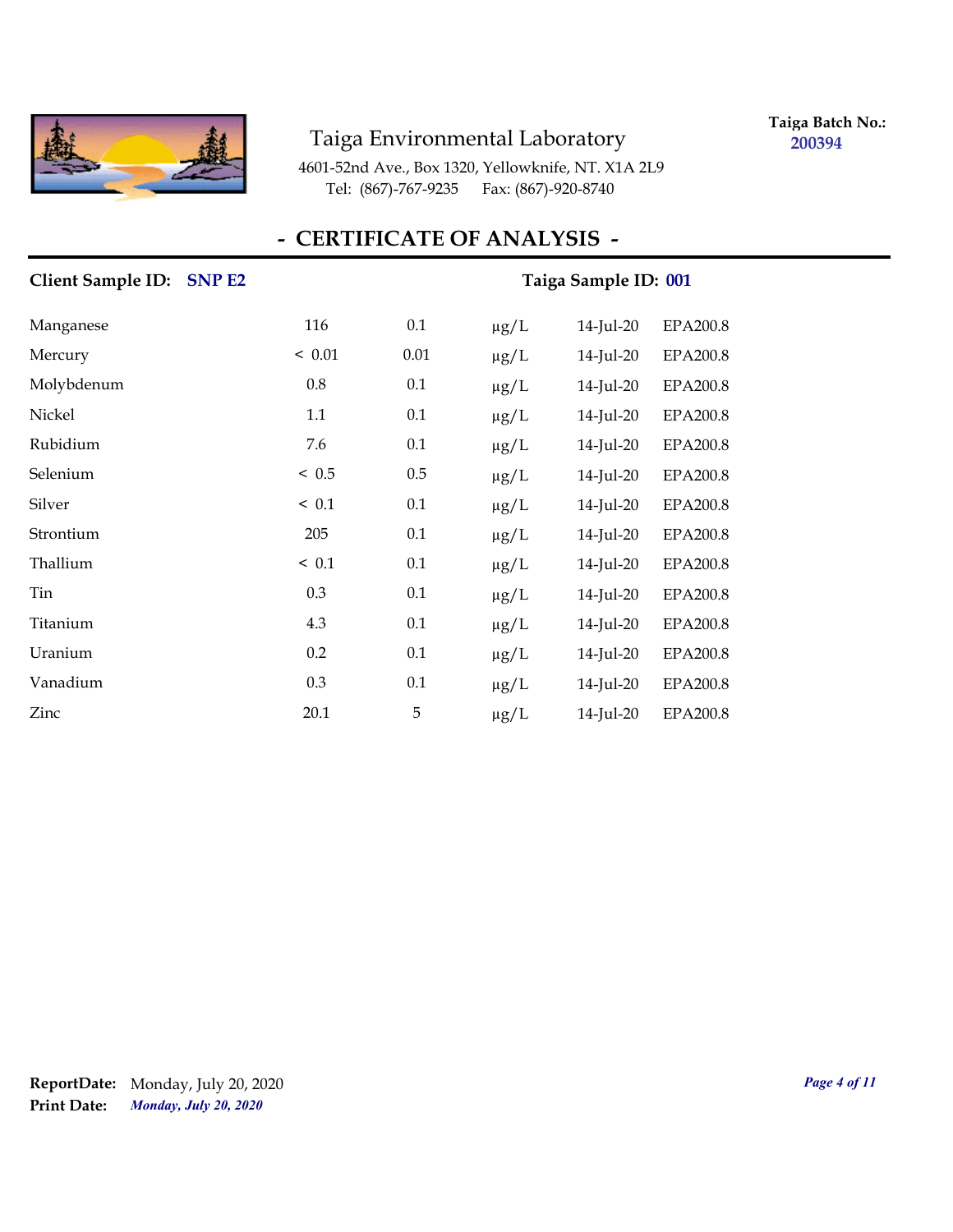

**Taiga Batch No.: 200394**

4601-52nd Ave., Box 1320, Yellowknife, NT. X1A 2L9 Tel: (867)-767-9235 Fax: (867)-920-8740

#### **- CERTIFICATE OF ANALYSIS -**

# **Client Sample ID:** SNP E2 Taiga Sample ID: 001 Manganese 116 0.1 μg/L 14-Jul-20 EPA200.8 Mercury < 0.01 0.01 µg/L 14-Jul-20 EPA200.8 Molybdenum 0.8 0.1 µg/L 14-Jul-20 EPA200.8 Nickel 1.1 0.1 µg/L 14-Jul-20 EPA200.8 Rubidium 7.6 0.1 µg/L 14-Jul-20 EPA200.8 Selenium < 0.5 0.5 µg/L 14-Jul-20 EPA200.8 Silver < 0.1 0.1 µg/L 14-Jul-20 EPA200.8 Strontium 205 0.1 µg/L 14-Jul-20 EPA200.8 Thallium  $\leq 0.1$   $0.1$   $\mu$ g/L  $14$ -Jul-20 EPA200.8 Tin 0.3 0.1 µg/L 14-Jul-20 EPA200.8 Titanium 4.3 0.1 µg/L 14-Jul-20 EPA200.8 Uranium 0.2 0.1 µg/L 14-Jul-20 EPA200.8 Vanadium 0.3 0.1 µg/L 14-Jul-20 EPA200.8 Zinc 20.1 5 µg/L 14-Jul-20 EPA200.8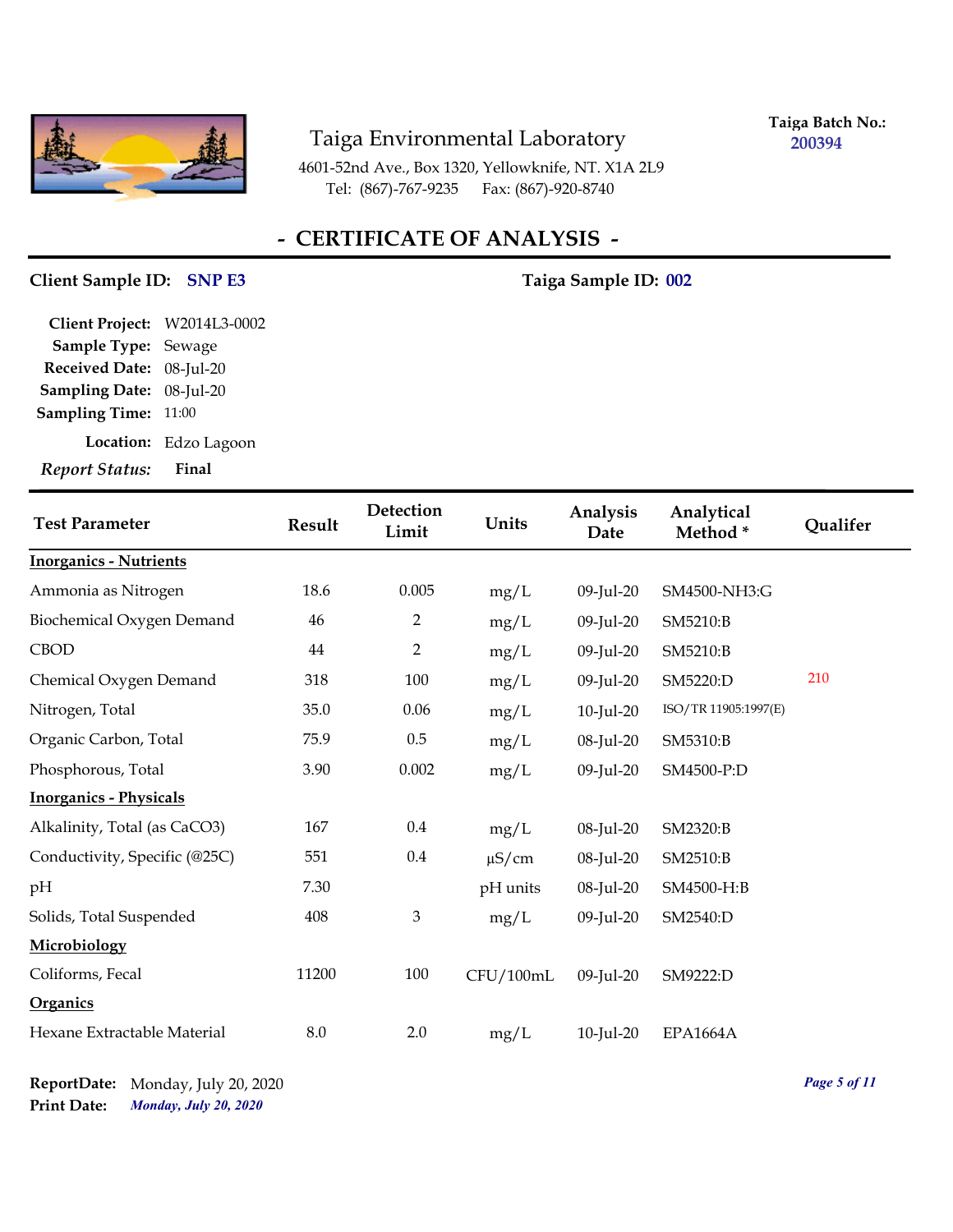

**Taiga Batch No.: 200394**

4601-52nd Ave., Box 1320, Yellowknife, NT. X1A 2L9 Tel: (867)-767-9235 Fax: (867)-920-8740

# **- CERTIFICATE OF ANALYSIS -**

#### **Client Sample ID: Taiga Sample ID: SNP E3 002**

| Final                              |
|------------------------------------|
| Location: Edzo Lagoon              |
| <b>Sampling Time: 11:00</b>        |
| 08-Jul-20<br><b>Sampling Date:</b> |
| Received Date: 08-Jul-20           |
| Sample Type: Sewage                |
| Client Project: W2014L3-0002       |
|                                    |

| <b>Test Parameter</b>         | <b>Result</b> | Detection<br>Limit | Units      | Analysis<br>Date | Analytical<br>Method* | Qualifer |
|-------------------------------|---------------|--------------------|------------|------------------|-----------------------|----------|
| <b>Inorganics - Nutrients</b> |               |                    |            |                  |                       |          |
| Ammonia as Nitrogen           | 18.6          | 0.005              | mg/L       | 09-Jul-20        | SM4500-NH3:G          |          |
| Biochemical Oxygen Demand     | 46            | 2                  | mg/L       | 09-Jul-20        | SM5210:B              |          |
| <b>CBOD</b>                   | 44            | $\overline{2}$     | mg/L       | 09-Jul-20        | SM5210:B              |          |
| Chemical Oxygen Demand        | 318           | 100                | mg/L       | 09-Jul-20        | SM5220:D              | 210      |
| Nitrogen, Total               | 35.0          | 0.06               | mg/L       | 10-Jul-20        | ISO/TR 11905:1997(E)  |          |
| Organic Carbon, Total         | 75.9          | 0.5                | mg/L       | 08-Jul-20        | SM5310:B              |          |
| Phosphorous, Total            | 3.90          | 0.002              | mg/L       | 09-Jul-20        | SM4500-P:D            |          |
| <b>Inorganics - Physicals</b> |               |                    |            |                  |                       |          |
| Alkalinity, Total (as CaCO3)  | 167           | 0.4                | mg/L       | 08-Jul-20        | SM2320:B              |          |
| Conductivity, Specific (@25C) | 551           | $0.4\,$            | $\mu$ S/cm | 08-Jul-20        | SM2510:B              |          |
| pH                            | 7.30          |                    | pH units   | 08-Jul-20        | SM4500-H:B            |          |
| Solids, Total Suspended       | 408           | $\mathfrak{Z}$     | mg/L       | 09-Jul-20        | SM2540:D              |          |
| Microbiology                  |               |                    |            |                  |                       |          |
| Coliforms, Fecal              | 11200         | 100                | CFU/100mL  | 09-Jul-20        | SM9222:D              |          |
| <b>Organics</b>               |               |                    |            |                  |                       |          |
| Hexane Extractable Material   | 8.0           | 2.0                | mg/L       | $10$ -Jul-20     | <b>EPA1664A</b>       |          |

*Monday, July 20, 2020* **Print Date: ReportDate:** Monday, July 20, 2020 *Page 5 of 11*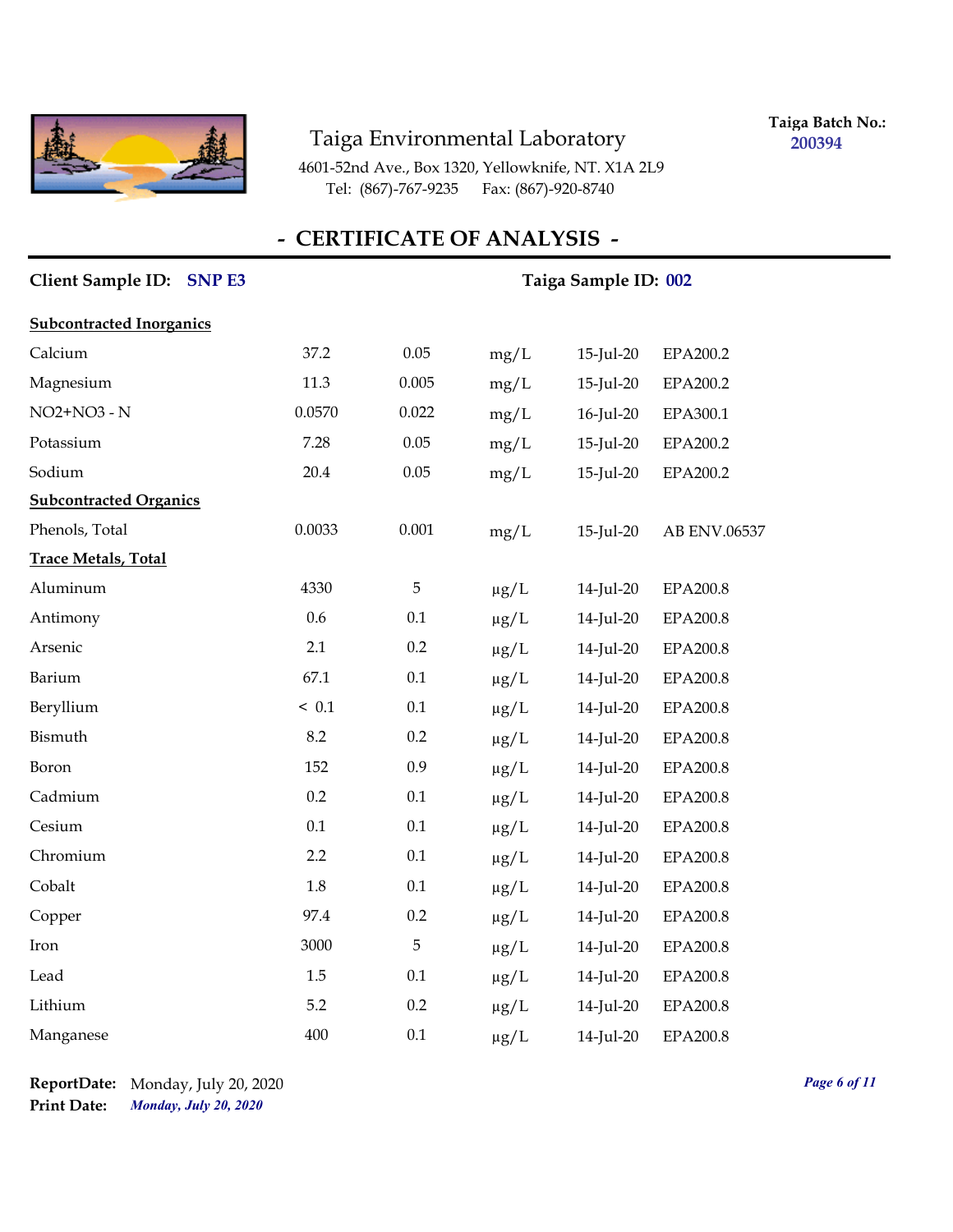

**Taiga Batch No.: 200394**

4601-52nd Ave., Box 1320, Yellowknife, NT. X1A 2L9 Tel: (867)-767-9235 Fax: (867)-920-8740

# **- CERTIFICATE OF ANALYSIS -**

| Client Sample ID: SNP E3        |         | Taiga Sample ID: 002 |           |              |                 |  |  |  |  |
|---------------------------------|---------|----------------------|-----------|--------------|-----------------|--|--|--|--|
| <b>Subcontracted Inorganics</b> |         |                      |           |              |                 |  |  |  |  |
| Calcium                         | 37.2    | 0.05                 | mg/L      | $15$ -Jul-20 | EPA200.2        |  |  |  |  |
| Magnesium                       | 11.3    | 0.005                | mg/L      | $15$ -Jul-20 | EPA200.2        |  |  |  |  |
| NO2+NO3 - N                     | 0.0570  | 0.022                | mg/L      | 16-Jul-20    | EPA300.1        |  |  |  |  |
| Potassium                       | 7.28    | 0.05                 | mg/L      | $15$ -Jul-20 | EPA200.2        |  |  |  |  |
| Sodium                          | 20.4    | 0.05                 | mg/L      | $15$ -Jul-20 | EPA200.2        |  |  |  |  |
| <b>Subcontracted Organics</b>   |         |                      |           |              |                 |  |  |  |  |
| Phenols, Total                  | 0.0033  | 0.001                | mg/L      | $15$ -Jul-20 | AB ENV.06537    |  |  |  |  |
| <b>Trace Metals, Total</b>      |         |                      |           |              |                 |  |  |  |  |
| Aluminum                        | 4330    | 5                    | $\mu g/L$ | 14-Jul-20    | EPA200.8        |  |  |  |  |
| Antimony                        | 0.6     | 0.1                  | $\mu g/L$ | 14-Jul-20    | <b>EPA200.8</b> |  |  |  |  |
| Arsenic                         | 2.1     | 0.2                  | $\mu g/L$ | 14-Jul-20    | <b>EPA200.8</b> |  |  |  |  |
| Barium                          | 67.1    | 0.1                  | $\mu g/L$ | 14-Jul-20    | <b>EPA200.8</b> |  |  |  |  |
| Beryllium                       | ~< 0.1  | 0.1                  | $\mu g/L$ | 14-Jul-20    | EPA200.8        |  |  |  |  |
| Bismuth                         | 8.2     | 0.2                  | $\mu g/L$ | 14-Jul-20    | <b>EPA200.8</b> |  |  |  |  |
| Boron                           | 152     | 0.9                  | $\mu g/L$ | 14-Jul-20    | <b>EPA200.8</b> |  |  |  |  |
| Cadmium                         | 0.2     | 0.1                  | $\mu g/L$ | 14-Jul-20    | <b>EPA200.8</b> |  |  |  |  |
| Cesium                          | $0.1\,$ | 0.1                  | $\mu g/L$ | 14-Jul-20    | <b>EPA200.8</b> |  |  |  |  |
| Chromium                        | 2.2     | 0.1                  | $\mu g/L$ | 14-Jul-20    | EPA200.8        |  |  |  |  |
| Cobalt                          | 1.8     | 0.1                  | $\mu g/L$ | 14-Jul-20    | EPA200.8        |  |  |  |  |
| Copper                          | 97.4    | 0.2                  | $\mu g/L$ | 14-Jul-20    | EPA200.8        |  |  |  |  |
| Iron                            | 3000    | 5                    | $\mu g/L$ | 14-Jul-20    | <b>EPA200.8</b> |  |  |  |  |
| Lead                            | 1.5     | 0.1                  | $\mu g/L$ | 14-Jul-20    | <b>EPA200.8</b> |  |  |  |  |
| Lithium                         | 5.2     | 0.2                  | $\mu g/L$ | 14-Jul-20    | EPA200.8        |  |  |  |  |
| Manganese                       | 400     | 0.1                  | $\mu$ g/L | 14-Jul-20    | EPA200.8        |  |  |  |  |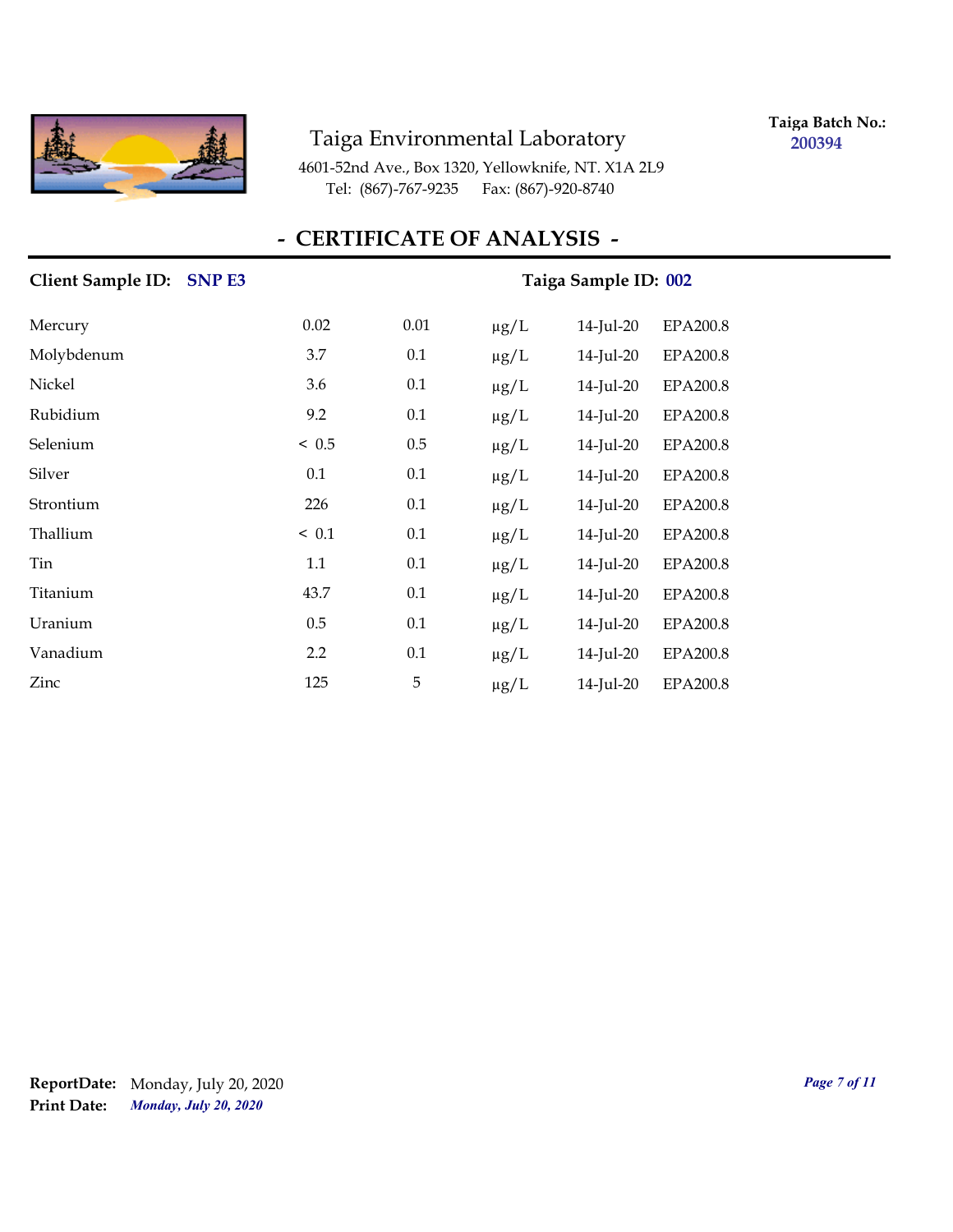

**Taiga Batch No.: 200394**

4601-52nd Ave., Box 1320, Yellowknife, NT. X1A 2L9 Tel: (867)-767-9235 Fax: (867)-920-8740

### **- CERTIFICATE OF ANALYSIS -**

# Client Sample ID: SNP E3 Taiga Sample ID: 002 Mercury 0.02 0.01 µg/L 14-Jul-20 EPA200.8 Molybdenum 3.7 0.1 µg/L 14-Jul-20 EPA200.8 Nickel 3.6 0.1 µg/L 14-Jul-20 EPA200.8 Rubidium 9.2 0.1 µg/L 14-Jul-20 EPA200.8 Selenium < 0.5 0.5 µg/L 14-Jul-20 EPA200.8 Silver 0.1 0.1 µg/L 14-Jul-20 EPA200.8 Strontium 226 0.1 µg/L 14-Jul-20 EPA200.8 Thallium  $\leq 0.1$   $0.1$   $\mu$ g/L  $14$ -Jul-20 EPA200.8 Tin 1.1 0.1 µg/L 14-Jul-20 EPA200.8 Titanium 43.7 0.1 µg/L 14-Jul-20 EPA200.8 Uranium 0.5 0.1 µg/L 14-Jul-20 EPA200.8 Vanadium 2.2 0.1 µg/L 14-Jul-20 EPA200.8 Zinc 125 5 µg/L 14-Jul-20 EPA200.8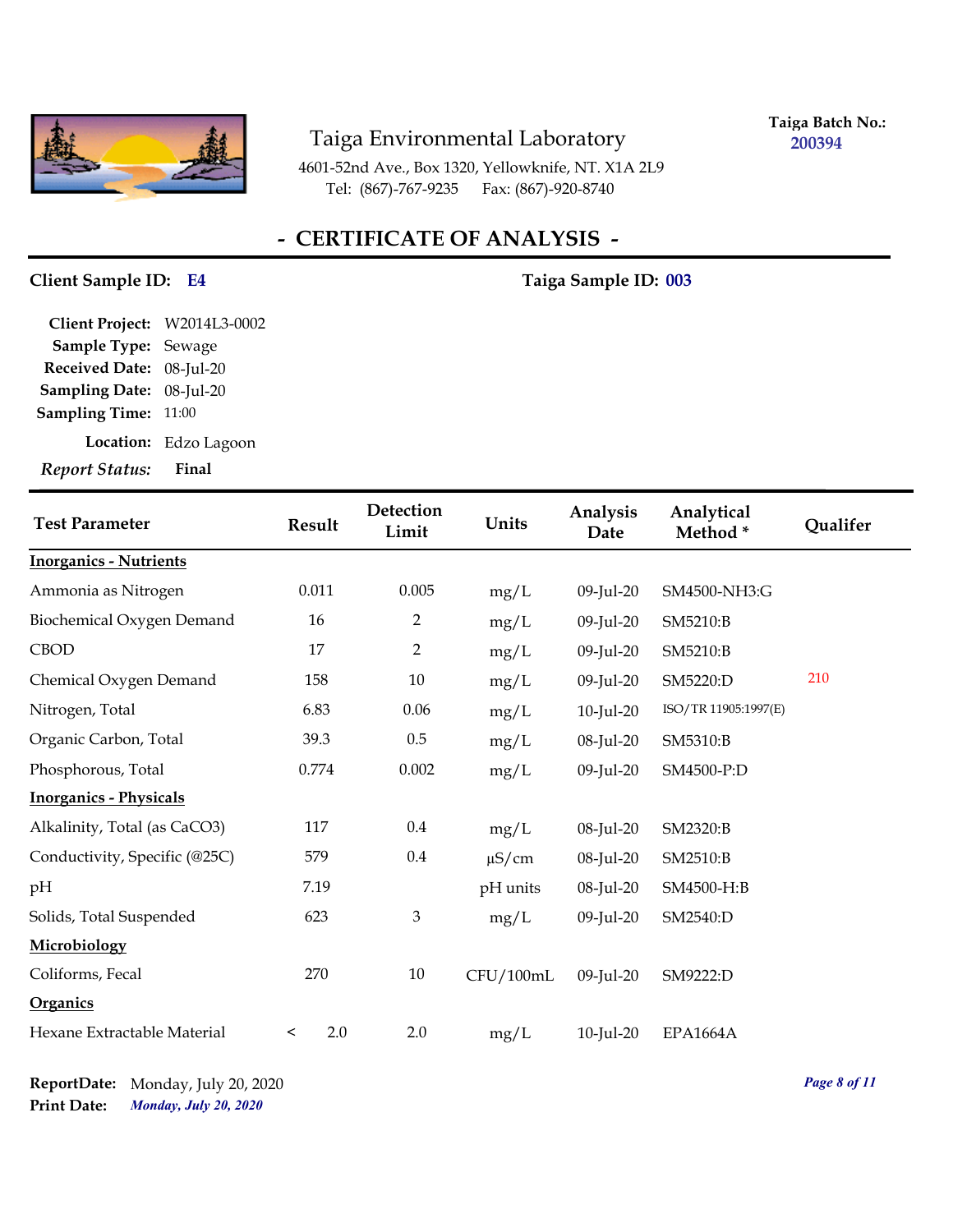

**Taiga Batch No.: 200394**

4601-52nd Ave., Box 1320, Yellowknife, NT. X1A 2L9 Tel: (867)-767-9235 Fax: (867)-920-8740

# **- CERTIFICATE OF ANALYSIS -**

#### **Client Sample ID: Taiga Sample ID: E4 003**

| Final                              |
|------------------------------------|
| Location: Edzo Lagoon              |
| <b>Sampling Time: 11:00</b>        |
| 08-Jul-20<br><b>Sampling Date:</b> |
| Received Date: 08-Jul-20           |
| Sample Type: Sewage                |
| Client Project: W2014L3-0002       |
|                                    |

| <b>Test Parameter</b>         | Result         | Detection<br>Limit | Units      | Analysis<br>Date | Analytical<br>Method* | Qualifer |
|-------------------------------|----------------|--------------------|------------|------------------|-----------------------|----------|
| <b>Inorganics - Nutrients</b> |                |                    |            |                  |                       |          |
| Ammonia as Nitrogen           | 0.011          | 0.005              | mg/L       | 09-Jul-20        | SM4500-NH3:G          |          |
| Biochemical Oxygen Demand     | 16             | 2                  | mg/L       | 09-Jul-20        | SM5210:B              |          |
| <b>CBOD</b>                   | 17             | $\overline{2}$     | mg/L       | 09-Jul-20        | SM5210:B              |          |
| Chemical Oxygen Demand        | 158            | 10                 | mg/L       | 09-Jul-20        | SM5220:D              | 210      |
| Nitrogen, Total               | 6.83           | 0.06               | mg/L       | 10-Jul-20        | ISO/TR 11905:1997(E)  |          |
| Organic Carbon, Total         | 39.3           | 0.5                | mg/L       | 08-Jul-20        | SM5310:B              |          |
| Phosphorous, Total            | 0.774          | 0.002              | mg/L       | 09-Jul-20        | SM4500-P:D            |          |
| <b>Inorganics - Physicals</b> |                |                    |            |                  |                       |          |
| Alkalinity, Total (as CaCO3)  | 117            | 0.4                | mg/L       | 08-Jul-20        | SM2320:B              |          |
| Conductivity, Specific (@25C) | 579            | 0.4                | $\mu$ S/cm | 08-Jul-20        | SM2510:B              |          |
| pH                            | 7.19           |                    | pH units   | 08-Jul-20        | SM4500-H:B            |          |
| Solids, Total Suspended       | 623            | 3                  | mg/L       | 09-Jul-20        | SM2540:D              |          |
| Microbiology                  |                |                    |            |                  |                       |          |
| Coliforms, Fecal              | 270            | $10\,$             | CFU/100mL  | 09-Jul-20        | SM9222:D              |          |
| Organics                      |                |                    |            |                  |                       |          |
| Hexane Extractable Material   | 2.0<br>$\,<\,$ | 2.0                | mg/L       | 10-Jul-20        | <b>EPA1664A</b>       |          |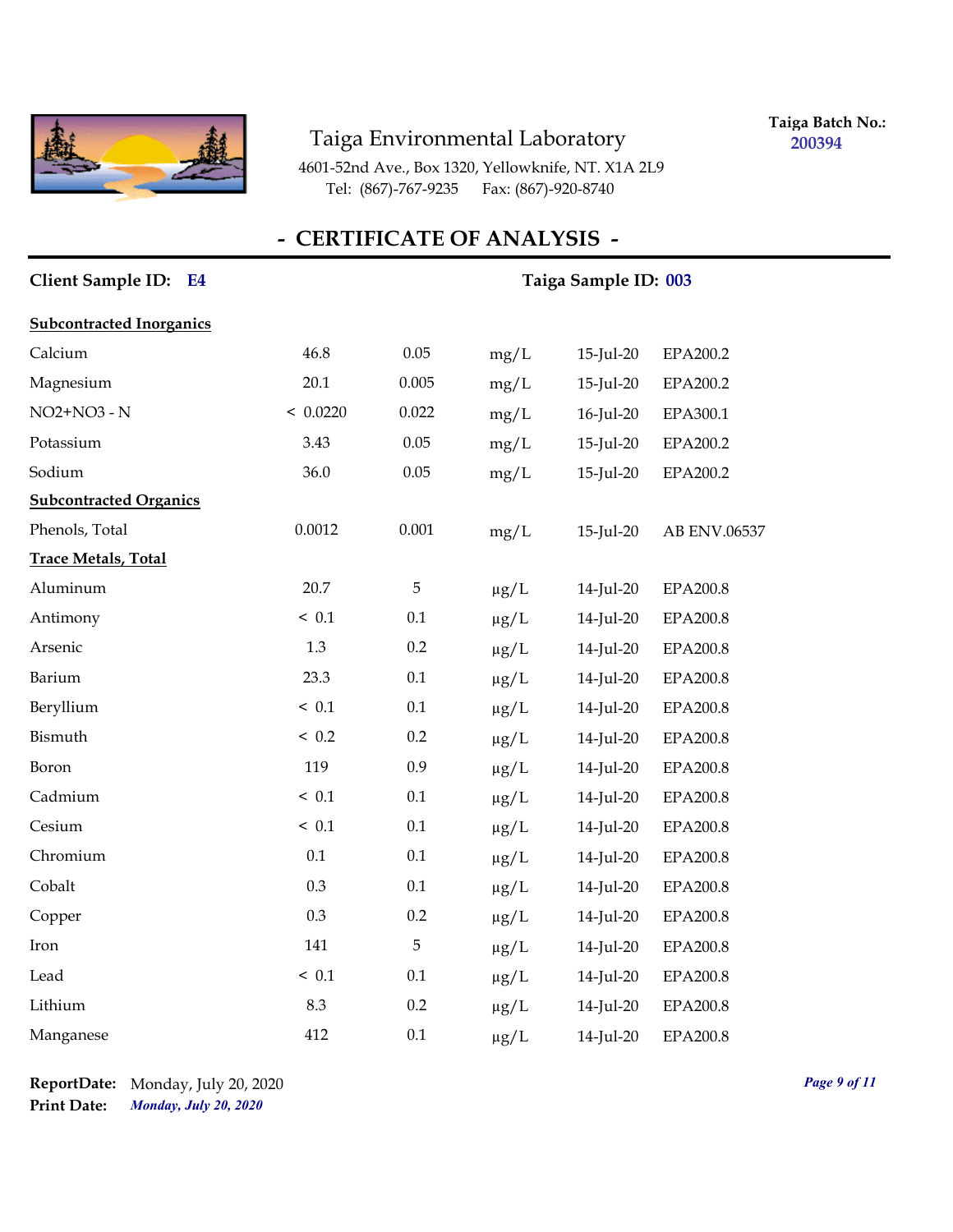

**Taiga Batch No.: 200394**

4601-52nd Ave., Box 1320, Yellowknife, NT. X1A 2L9 Tel: (867)-767-9235 Fax: (867)-920-8740

# **- CERTIFICATE OF ANALYSIS -**

| Client Sample ID: E4            |          | Taiga Sample ID: 003 |           |              |                 |  |  |  |
|---------------------------------|----------|----------------------|-----------|--------------|-----------------|--|--|--|
| <b>Subcontracted Inorganics</b> |          |                      |           |              |                 |  |  |  |
| Calcium                         | 46.8     | 0.05                 | mg/L      | $15$ -Jul-20 | EPA200.2        |  |  |  |
| Magnesium                       | 20.1     | 0.005                | mg/L      | $15$ -Jul-20 | EPA200.2        |  |  |  |
| NO2+NO3 - N                     | < 0.0220 | 0.022                | mg/L      | 16-Jul-20    | EPA300.1        |  |  |  |
| Potassium                       | 3.43     | 0.05                 | mg/L      | 15-Jul-20    | EPA200.2        |  |  |  |
| Sodium                          | 36.0     | 0.05                 | mg/L      | $15$ -Jul-20 | EPA200.2        |  |  |  |
| <b>Subcontracted Organics</b>   |          |                      |           |              |                 |  |  |  |
| Phenols, Total                  | 0.0012   | 0.001                | mg/L      | 15-Jul-20    | AB ENV.06537    |  |  |  |
| <b>Trace Metals, Total</b>      |          |                      |           |              |                 |  |  |  |
| Aluminum                        | 20.7     | 5                    | $\mu g/L$ | 14-Jul-20    | EPA200.8        |  |  |  |
| Antimony                        | < 0.1    | 0.1                  | $\mu g/L$ | 14-Jul-20    | <b>EPA200.8</b> |  |  |  |
| Arsenic                         | 1.3      | 0.2                  | $\mu g/L$ | 14-Jul-20    | <b>EPA200.8</b> |  |  |  |
| Barium                          | 23.3     | 0.1                  | $\mu g/L$ | 14-Jul-20    | EPA200.8        |  |  |  |
| Beryllium                       | ~< 0.1   | 0.1                  | $\mu g/L$ | 14-Jul-20    | EPA200.8        |  |  |  |
| Bismuth                         | ~< 0.2   | 0.2                  | $\mu g/L$ | 14-Jul-20    | EPA200.8        |  |  |  |
| Boron                           | 119      | 0.9                  | $\mu$ g/L | 14-Jul-20    | <b>EPA200.8</b> |  |  |  |
| Cadmium                         | ~< 0.1   | 0.1                  | $\mu g/L$ | 14-Jul-20    | EPA200.8        |  |  |  |
| Cesium                          | ~< 0.1   | 0.1                  | $\mu g/L$ | 14-Jul-20    | EPA200.8        |  |  |  |
| Chromium                        | 0.1      | 0.1                  | $\mu g/L$ | 14-Jul-20    | <b>EPA200.8</b> |  |  |  |
| Cobalt                          | 0.3      | $0.1\,$              | $\mu$ g/L | 14-Jul-20    | <b>EPA200.8</b> |  |  |  |
| Copper                          | 0.3      | 0.2                  | $\mu g/L$ | 14-Jul-20    | <b>EPA200.8</b> |  |  |  |
| Iron                            | 141      | 5                    | $\mu g/L$ | 14-Jul-20    | EPA200.8        |  |  |  |
| Lead                            | ~< 0.1   | 0.1                  | $\mu g/L$ | 14-Jul-20    | EPA200.8        |  |  |  |
| Lithium                         | 8.3      | 0.2                  | $\mu$ g/L | 14-Jul-20    | <b>EPA200.8</b> |  |  |  |
| Manganese                       | 412      | 0.1                  | $\mu$ g/L | 14-Jul-20    | EPA200.8        |  |  |  |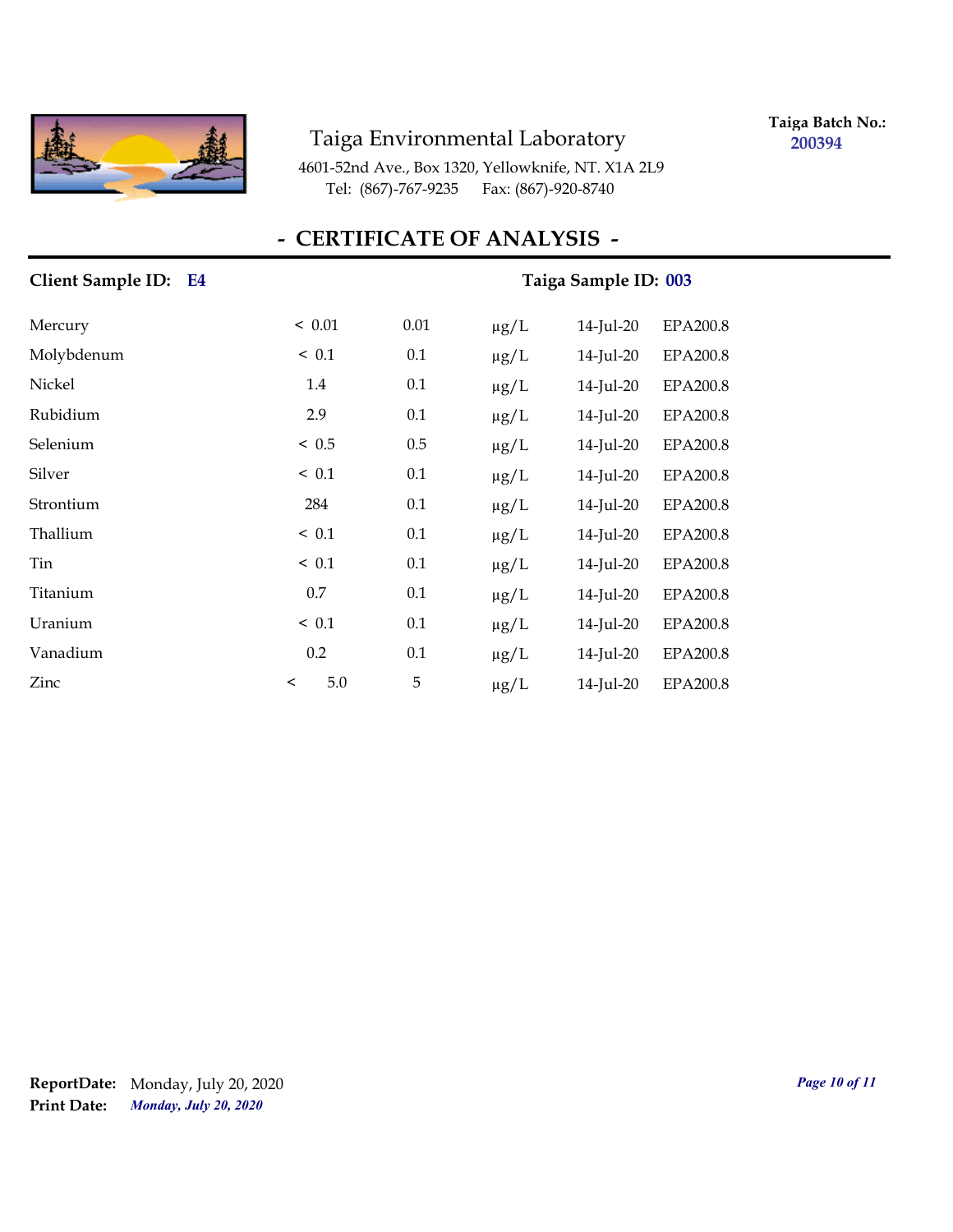

**Taiga Batch No.: 200394**

4601-52nd Ave., Box 1320, Yellowknife, NT. X1A 2L9 Tel: (867)-767-9235 Fax: (867)-920-8740

# **- CERTIFICATE OF ANALYSIS -**

| Client Sample ID: E4 | Taiga Sample ID: 003 |      |           |              |                 |  |
|----------------------|----------------------|------|-----------|--------------|-----------------|--|
| Mercury              | < 0.01               | 0.01 | $\mu g/L$ | 14-Jul-20    | <b>EPA200.8</b> |  |
| Molybdenum           | ~< 0.1               | 0.1  | $\mu g/L$ | 14-Jul-20    | <b>EPA200.8</b> |  |
| Nickel               | 1.4                  | 0.1  | $\mu$ g/L | 14-Jul-20    | <b>EPA200.8</b> |  |
| Rubidium             | 2.9                  | 0.1  | $\mu$ g/L | 14-Jul-20    | <b>EPA200.8</b> |  |
| Selenium             | < 0.5                | 0.5  | $\mu g/L$ | 14-Jul-20    | EPA200.8        |  |
| Silver               | $\leq 0.1$           | 0.1  | $\mu g/L$ | 14-Jul-20    | EPA200.8        |  |
| Strontium            | 284                  | 0.1  | $\mu g/L$ | 14-Jul-20    | <b>EPA200.8</b> |  |
| Thallium             | < 0.1                | 0.1  | $\mu g/L$ | 14-Jul-20    | <b>EPA200.8</b> |  |
| Tin                  | ~< 0.1               | 0.1  | $\mu g/L$ | $14$ -Jul-20 | EPA200.8        |  |
| Titanium             | 0.7                  | 0.1  | $\mu g/L$ | 14-Jul-20    | EPA200.8        |  |
| Uranium              | ~< 0.1               | 0.1  | $\mu$ g/L | $14$ -Jul-20 | EPA200.8        |  |
| Vanadium             | 0.2                  | 0.1  | $\mu$ g/L | 14-Jul-20    | <b>EPA200.8</b> |  |
| Zinc                 | 5.0<br>$\,<\,$       | 5    | $\mu g/L$ | 14-Jul-20    | <b>EPA200.8</b> |  |

*Monday, July 20, 2020* **Print Date: ReportDate:** Monday, July 20, 2020 *Page 10 of 11*